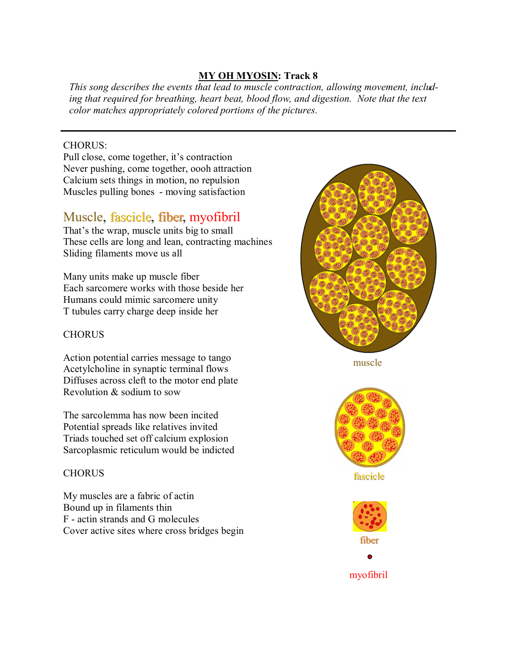### **MY OH MYOSIN: Track 8**

*This song describes the events that lead to muscle contraction, allowing movement, including that required for breathing, heart beat, blood flow, and digestion. Note that the text color matches appropriately colored portions of the pictures.*

#### CHORUS:

Pull close, come together, it's contraction Never pushing, come together, oooh attraction Calcium sets things in motion, no repulsion Muscles pulling bones - moving satisfaction

# Muscle, fascicle, fiber, myofibril

That's the wrap, muscle units big to small These cells are long and lean, contracting machines Sliding filaments move us all

Many units make up muscle fiber Each sarcomere works with those beside her Humans could mimic sarcomere unity T tubules carry charge deep inside her

## **CHORUS**

Action potential carries message to tango Acetylcholine in synaptic terminal flows Diffuses across cleft to the motor end plate Revolution & sodium to sow

The sarcolemma has now been incited Potential spreads like relatives invited Triads touched set off calcium explosion Sarcoplasmic reticulum would be indicted

### **CHORUS**

My muscles are a fabric of actin Bound up in filaments thin F - actin strands and G molecules Cover active sites where cross bridges begin



muscle



fascicle



myofibril